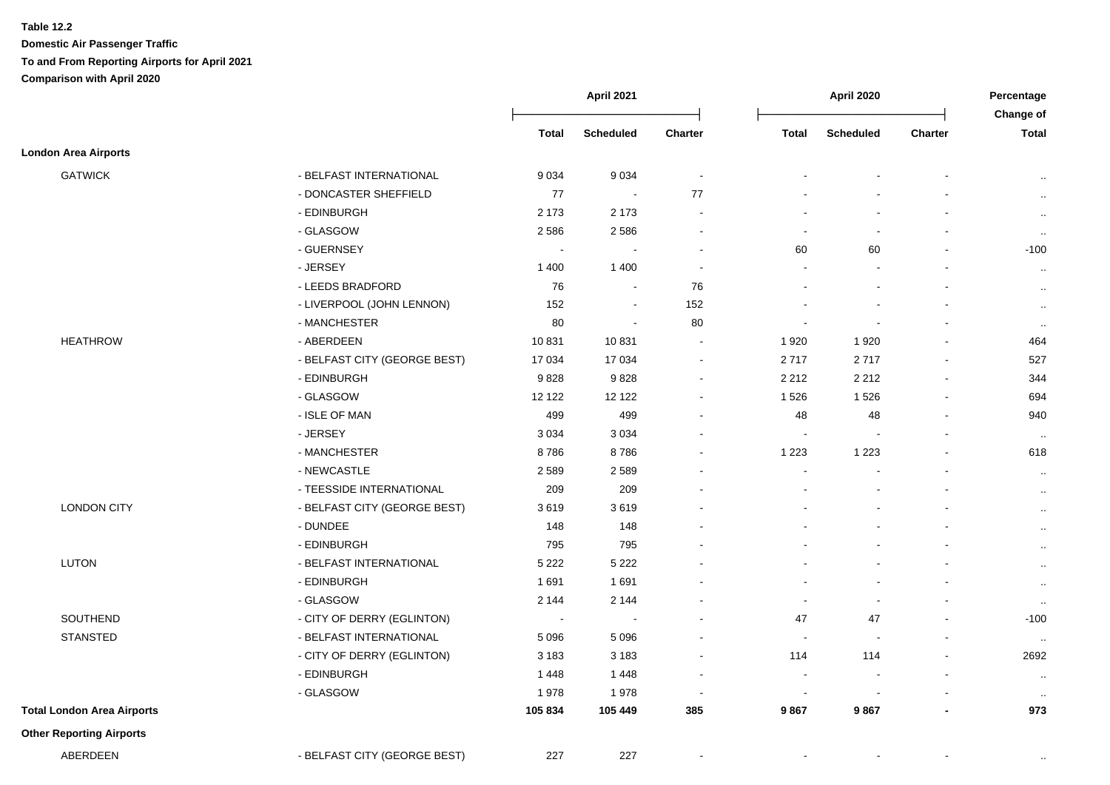**Table 12.2**

**Domestic Air Passenger Traffic To and From Reporting Airports for April 2021 Comparison with April 2020**

|                                   |                              | April 2021               |                  | April 2020     |                |                  | Percentage<br>Change of |              |
|-----------------------------------|------------------------------|--------------------------|------------------|----------------|----------------|------------------|-------------------------|--------------|
|                                   |                              | <b>Total</b>             | <b>Scheduled</b> | <b>Charter</b> | <b>Total</b>   | <b>Scheduled</b> | <b>Charter</b>          | <b>Total</b> |
| <b>London Area Airports</b>       |                              |                          |                  |                |                |                  |                         |              |
| <b>GATWICK</b>                    | - BELFAST INTERNATIONAL      | 9 0 3 4                  | 9 0 34           | $\blacksquare$ |                |                  |                         | $\cdot$ .    |
|                                   | - DONCASTER SHEFFIELD        | 77                       | $\sim$           | 77             |                |                  |                         | $\cdot$ .    |
|                                   | - EDINBURGH                  | 2 1 7 3                  | 2 173            | $\sim$         |                |                  |                         | $\cdot$      |
|                                   | - GLASGOW                    | 2586                     | 2586             |                |                | $\blacksquare$   |                         | $\cdot$      |
|                                   | - GUERNSEY                   | $\overline{\phantom{a}}$ |                  |                | 60             | 60               |                         | $-100$       |
|                                   | - JERSEY                     | 1 4 0 0                  | 1 400            |                |                |                  |                         | $\ldots$     |
|                                   | - LEEDS BRADFORD             | 76                       | $\blacksquare$   | 76             |                |                  |                         | $\sim$       |
|                                   | - LIVERPOOL (JOHN LENNON)    | 152                      | $\blacksquare$   | 152            |                |                  |                         | $\cdot$ .    |
|                                   | - MANCHESTER                 | 80                       | $\blacksquare$   | 80             | $\blacksquare$ | $\sim$           |                         | $\cdot$ .    |
| <b>HEATHROW</b>                   | - ABERDEEN                   | 10831                    | 10 831           | $\sim$         | 1920           | 1920             |                         | 464          |
|                                   | - BELFAST CITY (GEORGE BEST) | 17 034                   | 17 034           | $\blacksquare$ | 2717           | 2717             | $\blacksquare$          | 527          |
|                                   | - EDINBURGH                  | 9828                     | 9828             | $\sim$         | 2 2 1 2        | 2 2 1 2          | $\blacksquare$          | 344          |
|                                   | - GLASGOW                    | 12 122                   | 12 122           | $\sim$         | 1526           | 1526             | $\blacksquare$          | 694          |
|                                   | - ISLE OF MAN                | 499                      | 499              |                | 48             | 48               | $\overline{a}$          | 940          |
|                                   | - JERSEY                     | 3 0 3 4                  | 3 0 3 4          |                |                |                  |                         | $\ddotsc$    |
|                                   | - MANCHESTER                 | 8786                     | 8786             |                | 1 2 2 3        | 1 2 2 3          |                         | 618          |
|                                   | - NEWCASTLE                  | 2589                     | 2 5 8 9          |                |                |                  |                         | $\cdot$ .    |
|                                   | - TEESSIDE INTERNATIONAL     | 209                      | 209              |                |                |                  |                         | $\sim$       |
| <b>LONDON CITY</b>                | - BELFAST CITY (GEORGE BEST) | 3619                     | 3619             |                |                |                  |                         | $\sim$       |
|                                   | - DUNDEE                     | 148                      | 148              |                |                |                  |                         | $\cdot$ .    |
|                                   | - EDINBURGH                  | 795                      | 795              |                |                |                  |                         | $\cdot$ .    |
| <b>LUTON</b>                      | - BELFAST INTERNATIONAL      | 5 2 2 2                  | 5 2 2 2          |                |                |                  |                         | $\sim$       |
|                                   | - EDINBURGH                  | 1691                     | 1691             |                |                |                  |                         | $\cdot$ .    |
|                                   | - GLASGOW                    | 2 1 4 4                  | 2 144            |                |                | $\blacksquare$   |                         | $\cdot$      |
| SOUTHEND                          | - CITY OF DERRY (EGLINTON)   | $\overline{\phantom{a}}$ |                  |                | 47             | 47               | $\blacksquare$          | $-100$       |
| <b>STANSTED</b>                   | - BELFAST INTERNATIONAL      | 5 0 9 6                  | 5 0 9 6          |                | $\overline{a}$ | $\sim$           |                         | $\sim$       |
|                                   | - CITY OF DERRY (EGLINTON)   | 3 1 8 3                  | 3 1 8 3          |                | 114            | 114              |                         | 2692         |
|                                   | - EDINBURGH                  | 1448                     | 1 4 4 8          |                |                |                  |                         | $\cdot$ .    |
|                                   | - GLASGOW                    | 1978                     | 1978             |                |                |                  |                         | $\ddotsc$    |
| <b>Total London Area Airports</b> |                              | 105 834                  | 105 449          | 385            | 9867           | 9867             |                         | 973          |
| <b>Other Reporting Airports</b>   |                              |                          |                  |                |                |                  |                         |              |
| ABERDEEN                          | - BELFAST CITY (GEORGE BEST) | 227                      | 227              |                |                |                  |                         | $\cdot$ .    |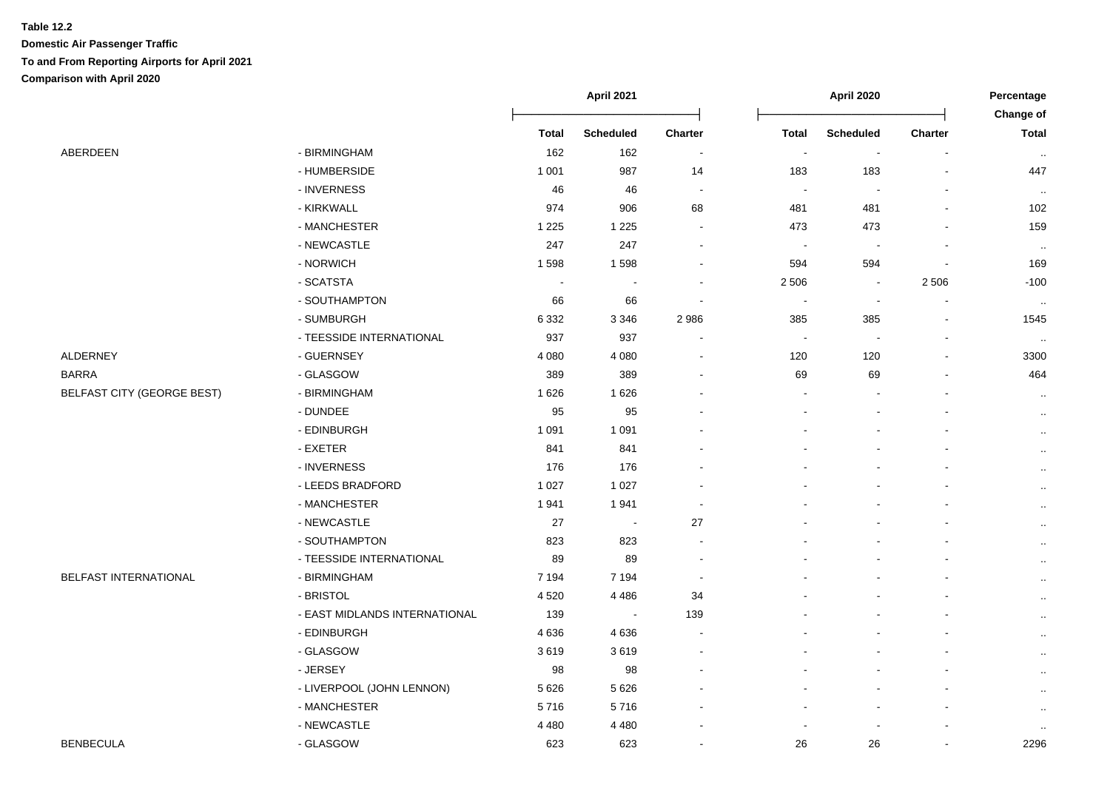## **Table 12.2 Domestic Air Passenger Traffic To and From Reporting Airports for April 2021 Comparison with April 2020**

|                                   |                               | April 2021   |                  |                          | April 2020   |                  |                | Percentage<br>Change of |
|-----------------------------------|-------------------------------|--------------|------------------|--------------------------|--------------|------------------|----------------|-------------------------|
|                                   |                               | <b>Total</b> | <b>Scheduled</b> | <b>Charter</b>           | <b>Total</b> | <b>Scheduled</b> | <b>Charter</b> | <b>Total</b>            |
| ABERDEEN                          | - BIRMINGHAM                  | 162          | 162              | $\blacksquare$           | $\sim$       | $\blacksquare$   | $\sim$         | $\sim$                  |
|                                   | - HUMBERSIDE                  | 1 0 0 1      | 987              | 14                       | 183          | 183              |                | 447                     |
|                                   | - INVERNESS                   | 46           | 46               | $\overline{\phantom{a}}$ |              |                  |                | $\sim$                  |
|                                   | - KIRKWALL                    | 974          | 906              | 68                       | 481          | 481              |                | 102                     |
|                                   | - MANCHESTER                  | 1 2 2 5      | 1 2 2 5          | $\ddot{\phantom{0}}$     | 473          | 473              |                | 159                     |
|                                   | - NEWCASTLE                   | 247          | 247              | $\overline{\phantom{a}}$ |              | $\blacksquare$   |                | $\sim$                  |
|                                   | - NORWICH                     | 1598         | 1598             | $\sim$                   | 594          | 594              | ÷,             | 169                     |
|                                   | - SCATSTA                     | $\sim$       |                  |                          | 2 5 0 6      | $\blacksquare$   | 2 5 0 6        | $-100$                  |
|                                   | - SOUTHAMPTON                 | 66           | 66               | $\overline{\phantom{a}}$ |              | $\blacksquare$   | $\blacksquare$ | $\ldots$                |
|                                   | - SUMBURGH                    | 6 3 3 2      | 3 3 4 6          | 2986                     | 385          | 385              | $\blacksquare$ | 1545                    |
|                                   | - TEESSIDE INTERNATIONAL      | 937          | 937              |                          | $\sim$       | $\blacksquare$   | ä,             | $\sim$                  |
| <b>ALDERNEY</b>                   | - GUERNSEY                    | 4 0 8 0      | 4 0 8 0          |                          | 120          | 120              | $\sim$         | 3300                    |
| <b>BARRA</b>                      | - GLASGOW                     | 389          | 389              |                          | 69           | 69               |                | 464                     |
| <b>BELFAST CITY (GEORGE BEST)</b> | - BIRMINGHAM                  | 1626         | 1 6 2 6          |                          |              |                  |                | $\cdot$ .               |
|                                   | - DUNDEE                      | 95           | 95               |                          |              |                  |                | $\cdot$ .               |
|                                   | - EDINBURGH                   | 1 0 9 1      | 1 0 9 1          |                          |              |                  |                | $\cdot$ .               |
|                                   | - EXETER                      | 841          | 841              |                          |              |                  |                | $\cdot$ .               |
|                                   | - INVERNESS                   | 176          | 176              |                          |              |                  |                | $\cdot$ .               |
|                                   | - LEEDS BRADFORD              | 1 0 2 7      | 1 0 2 7          |                          |              |                  |                | $\cdot$ .               |
|                                   | - MANCHESTER                  | 1941         | 1941             |                          |              |                  |                | $\cdot$ .               |
|                                   | - NEWCASTLE                   | 27           | $\sim$           | 27                       |              |                  |                | $\cdot$ .               |
|                                   | - SOUTHAMPTON                 | 823          | 823              | $\overline{\phantom{a}}$ |              |                  |                | $\cdot$ .               |
|                                   | - TEESSIDE INTERNATIONAL      | 89           | 89               |                          |              |                  |                | $\ddot{\phantom{a}}$    |
| <b>BELFAST INTERNATIONAL</b>      | - BIRMINGHAM                  | 7 1 9 4      | 7 1 9 4          | $\overline{\phantom{a}}$ |              |                  |                | $\cdot$ .               |
|                                   | - BRISTOL                     | 4520         | 4 4 8 6          | 34                       |              |                  |                | $\ldots$                |
|                                   | - EAST MIDLANDS INTERNATIONAL | 139          | $\blacksquare$   | 139                      |              |                  |                | $\ddot{\phantom{a}}$    |
|                                   | - EDINBURGH                   | 4636         | 4 6 3 6          |                          |              |                  |                | $\cdot$ .               |
|                                   | - GLASGOW                     | 3619         | 3619             |                          |              |                  |                | $\ddotsc$               |
|                                   | - JERSEY                      | 98           | 98               |                          |              |                  |                | $\ddotsc$               |
|                                   | - LIVERPOOL (JOHN LENNON)     | 5 6 2 6      | 5 6 2 6          |                          |              |                  |                | $\cdot$ .               |
|                                   | - MANCHESTER                  | 5716         | 5716             |                          |              |                  |                | $\ldots$                |
|                                   | - NEWCASTLE                   | 4 4 8 0      | 4 4 8 0          |                          |              |                  |                | $\cdot$ .               |
| <b>BENBECULA</b>                  | - GLASGOW                     | 623          | 623              | $\overline{\phantom{a}}$ | 26           | 26               | $\blacksquare$ | 2296                    |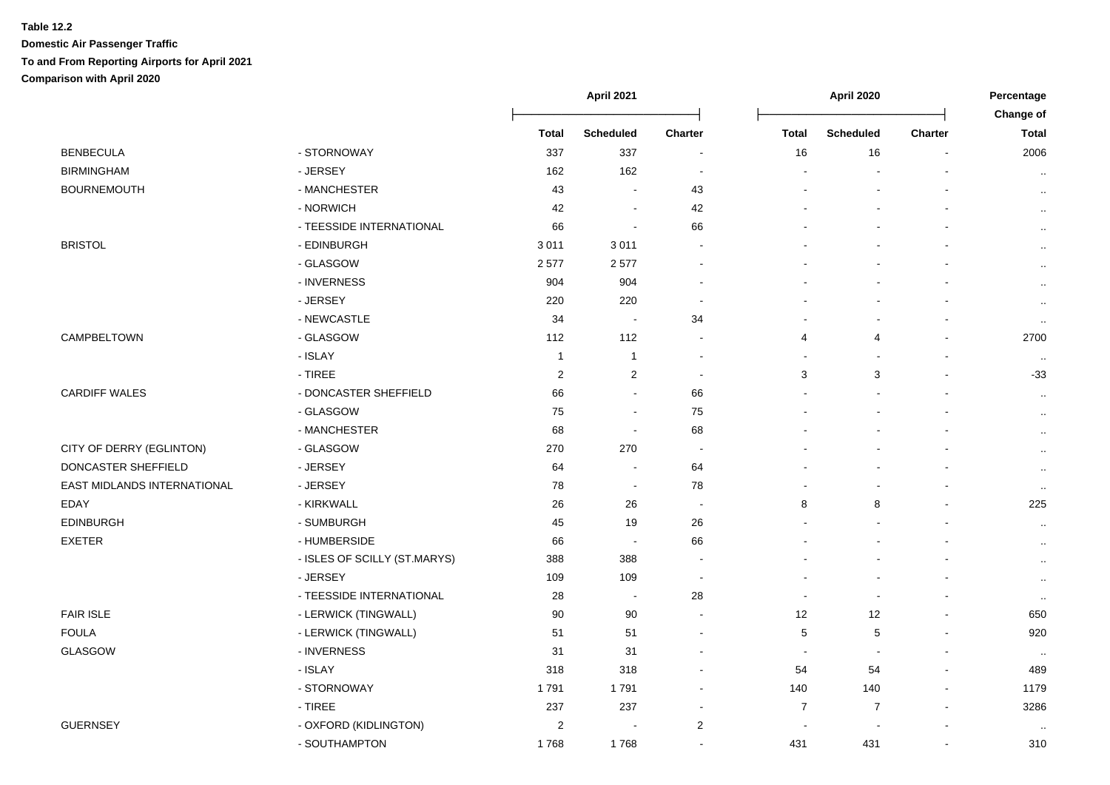## **Table 12.2 Domestic Air Passenger Traffic To and From Reporting Airports for April 2021 Comparison with April 2020**

|                             |                              |                | April 2021               |                          | April 2020               |                  |                          | Percentage                       |
|-----------------------------|------------------------------|----------------|--------------------------|--------------------------|--------------------------|------------------|--------------------------|----------------------------------|
|                             |                              | <b>Total</b>   | <b>Scheduled</b>         | Charter                  | <b>Total</b>             | <b>Scheduled</b> | <b>Charter</b>           | <b>Change of</b><br><b>Total</b> |
| <b>BENBECULA</b>            | - STORNOWAY                  | 337            | 337                      | $\overline{\phantom{a}}$ | 16                       | 16               | $\overline{\phantom{a}}$ | 2006                             |
| <b>BIRMINGHAM</b>           | - JERSEY                     | 162            | 162                      | $\overline{\phantom{a}}$ | $\blacksquare$           |                  |                          | $\cdot$ .                        |
| <b>BOURNEMOUTH</b>          | - MANCHESTER                 | 43             |                          | 43                       |                          |                  |                          | $\cdot$                          |
|                             | - NORWICH                    | 42             |                          | 42                       |                          |                  |                          | $\cdot$                          |
|                             | - TEESSIDE INTERNATIONAL     | 66             | $\sim$                   | 66                       |                          |                  |                          | $\cdot$ .                        |
| <b>BRISTOL</b>              | - EDINBURGH                  | 3011           | 3 0 1 1                  | $\overline{\phantom{a}}$ |                          |                  |                          | $\cdot$ .                        |
|                             | - GLASGOW                    | 2577           | 2 5 7 7                  | $\overline{\phantom{a}}$ |                          |                  |                          | $\ldots$                         |
|                             | - INVERNESS                  | 904            | 904                      | $\blacksquare$           |                          |                  |                          | $\cdot$ .                        |
|                             | - JERSEY                     | 220            | 220                      | $\overline{\phantom{a}}$ |                          |                  |                          | $\ldots$                         |
|                             | - NEWCASTLE                  | 34             | $\sim$                   | 34                       |                          | $\sim$           |                          | $\cdot$ .                        |
| CAMPBELTOWN                 | - GLASGOW                    | 112            | 112                      | $\overline{\phantom{a}}$ | 4                        | 4                |                          | 2700                             |
|                             | - ISLAY                      | $\overline{1}$ | $\overline{1}$           | $\overline{\phantom{a}}$ | $\blacksquare$           | $\blacksquare$   |                          | $\cdot$ .                        |
|                             | $-$ TIREE                    | $\overline{c}$ | $\overline{2}$           | $\sim$                   | $\mathbf{3}$             | 3                | $\overline{a}$           | $-33$                            |
| <b>CARDIFF WALES</b>        | - DONCASTER SHEFFIELD        | 66             | $\sim$                   | 66                       |                          |                  |                          | $\cdot$ .                        |
|                             | - GLASGOW                    | 75             | $\sim$                   | 75                       |                          |                  |                          | $\cdot$                          |
|                             | - MANCHESTER                 | 68             | $\sim$                   | 68                       |                          |                  |                          | $\sim$                           |
| CITY OF DERRY (EGLINTON)    | - GLASGOW                    | 270            | 270                      | $\sim$                   |                          |                  |                          | $\sim$                           |
| DONCASTER SHEFFIELD         | - JERSEY                     | 64             | $\blacksquare$           | 64                       |                          |                  |                          | $\sim$                           |
| EAST MIDLANDS INTERNATIONAL | - JERSEY                     | 78             | $\sim$                   | 78                       |                          |                  |                          | $\sim$                           |
| EDAY                        | - KIRKWALL                   | 26             | 26                       | $\sim$                   | 8                        | 8                |                          | 225                              |
| <b>EDINBURGH</b>            | - SUMBURGH                   | 45             | 19                       | 26                       |                          |                  |                          | $\cdot$                          |
| <b>EXETER</b>               | - HUMBERSIDE                 | 66             | $\blacksquare$           | 66                       |                          |                  |                          | $\cdot$ .                        |
|                             | - ISLES OF SCILLY (ST.MARYS) | 388            | 388                      | $\overline{\phantom{a}}$ |                          |                  |                          | $\sim$                           |
|                             | - JERSEY                     | 109            | 109                      | $\overline{\phantom{a}}$ |                          |                  |                          | $\ldots$                         |
|                             | - TEESSIDE INTERNATIONAL     | 28             | $\sim$                   | 28                       | $\sim$                   | $\sim$           |                          | $\sim$                           |
| <b>FAIR ISLE</b>            | - LERWICK (TINGWALL)         | 90             | 90                       | $\sim$                   | 12                       | 12               |                          | 650                              |
| <b>FOULA</b>                | - LERWICK (TINGWALL)         | 51             | 51                       | $\overline{\phantom{a}}$ | $\sqrt{5}$               | 5                | $\overline{a}$           | 920                              |
| GLASGOW                     | - INVERNESS                  | 31             | 31                       | $\overline{\phantom{a}}$ | $\overline{\phantom{a}}$ |                  |                          | $\sim$                           |
|                             | - ISLAY                      | 318            | 318                      | $\blacksquare$           | 54                       | 54               |                          | 489                              |
|                             | - STORNOWAY                  | 1791           | 1 7 9 1                  | $\blacksquare$           | 140                      | 140              |                          | 1179                             |
|                             | $-$ TIREE                    | 237            | 237                      | $\overline{\phantom{a}}$ | $\overline{7}$           | $\overline{7}$   |                          | 3286                             |
| <b>GUERNSEY</b>             | - OXFORD (KIDLINGTON)        | 2              | $\overline{\phantom{a}}$ | $\overline{2}$           | $\overline{a}$           |                  |                          |                                  |
|                             | - SOUTHAMPTON                | 1768           | 1768                     | $\overline{a}$           | 431                      | 431              | $\mathbf{r}$             | 310                              |